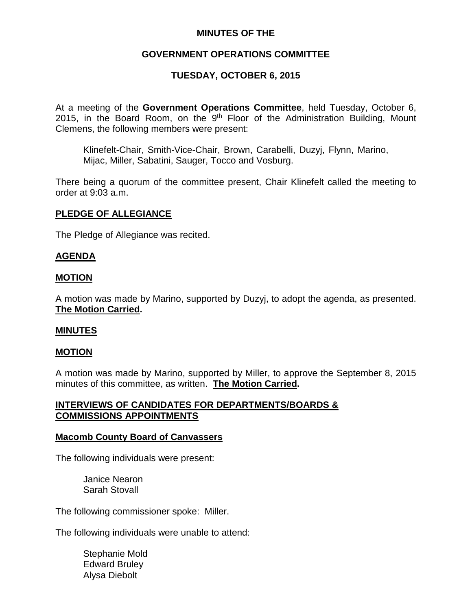### **MINUTES OF THE**

# **GOVERNMENT OPERATIONS COMMITTEE**

# **TUESDAY, OCTOBER 6, 2015**

At a meeting of the **Government Operations Committee**, held Tuesday, October 6, 2015, in the Board Room, on the  $9<sup>th</sup>$  Floor of the Administration Building, Mount Clemens, the following members were present:

Klinefelt-Chair, Smith-Vice-Chair, Brown, Carabelli, Duzyj, Flynn, Marino, Mijac, Miller, Sabatini, Sauger, Tocco and Vosburg.

There being a quorum of the committee present, Chair Klinefelt called the meeting to order at 9:03 a.m.

### **PLEDGE OF ALLEGIANCE**

The Pledge of Allegiance was recited.

### **AGENDA**

### **MOTION**

A motion was made by Marino, supported by Duzyj, to adopt the agenda, as presented. **The Motion Carried.**

### **MINUTES**

### **MOTION**

A motion was made by Marino, supported by Miller, to approve the September 8, 2015 minutes of this committee, as written. **The Motion Carried.**

### **INTERVIEWS OF CANDIDATES FOR DEPARTMENTS/BOARDS & COMMISSIONS APPOINTMENTS**

#### **Macomb County Board of Canvassers**

The following individuals were present:

Janice Nearon Sarah Stovall

The following commissioner spoke: Miller.

The following individuals were unable to attend:

Stephanie Mold Edward Bruley Alysa Diebolt